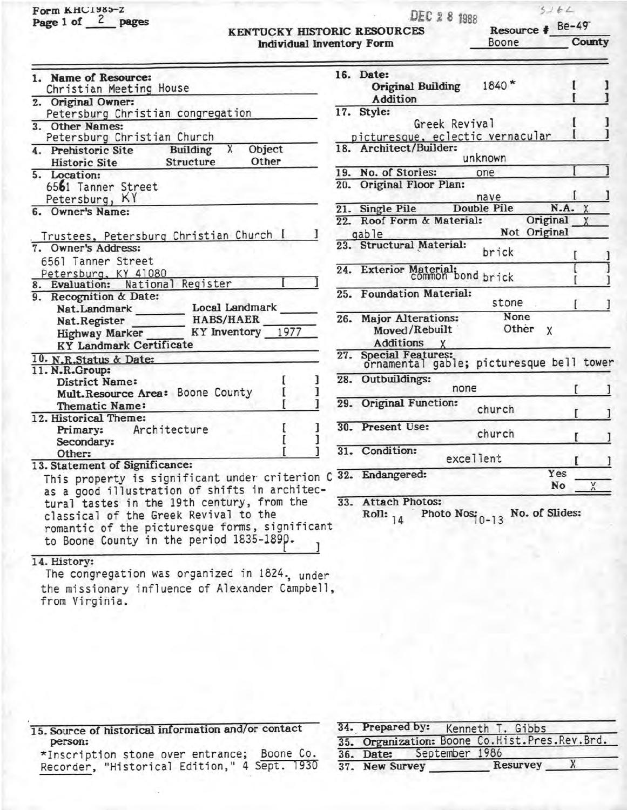Form KHC1985-2<br>Page 1 of <u>2</u> pages

### KENTUCKY HISTORIC RESOURCES

Individual Inventory Form \_\_

DEC 2 8 1988 Resource # Be-49

Boone County

 $5162$ 

| 1. Name of Resource:<br>Christian Meeting House                                                                         | 16. Date:<br>1840*<br><b>Original Building</b>                                               |
|-------------------------------------------------------------------------------------------------------------------------|----------------------------------------------------------------------------------------------|
| 2. Original Owner:<br>Petersburg Christian congregation                                                                 | Addition<br>17. Style:                                                                       |
| 3. Other Names:<br>Petersburg Christian Church                                                                          | Greek Revival<br>picturesque, eclectic vernacular                                            |
| Object<br>Building<br>X<br>4. Prehistoric Site<br>Other<br><b>Structure</b><br><b>Historic Site</b>                     | 18. Architect/Builder:<br>unknown                                                            |
| 5. Location:<br>6561 Tanner Street<br>Petersburg, KY                                                                    | 19. No. of Stories:<br>one<br>20. Original Floor Plan:<br>nave                               |
| 6. Owner's Name:                                                                                                        | Double Pile<br>N.A. X<br>21. Single Pile                                                     |
| Trustees, Petersburg Christian Church I                                                                                 | 22. Roof Form & Material:<br>Original X<br>Not Original<br>qable<br>23. Structural Material: |
| 7. Owner's Address:                                                                                                     | brick                                                                                        |
| 6561 Tanner Street<br>Petersburg, KY 41080<br>8. Evaluation: National Register                                          | 24. Exterior Material:<br>common bond brick                                                  |
| 9. Recognition & Date:<br>Local Landmark<br>Nat.Landmark                                                                | 25. Foundation Material:<br>stone                                                            |
| <b>HABS/HAER</b><br>Nat.Register<br>KY Inventory 1977<br><b>Highway Marker</b><br><b>KY Landmark Certificate</b>        | None<br>26. Major Alterations:<br>Other<br>Moved/Rebuilt<br>X<br>Additions                   |
| 10. N.R.Status & Date:<br>11. N.R.Group:                                                                                | <b>Special Features:</b><br>27.<br>ornamental gable; picturesque bell tower                  |
| <b>District Name:</b><br>Mult. Resource Area: Boone County                                                              | 28. Outbuildings:<br>none                                                                    |
| <b>Thematic Name:</b>                                                                                                   | 29. Original Function:<br>church                                                             |
| 12. Historical Theme:<br>Architecture<br>Primary:                                                                       | 30. Present Use:<br>church                                                                   |
| Secondary:<br>Other:                                                                                                    | 31. Condition:<br>excellent                                                                  |
| 13. Statement of Significance:                                                                                          | Yes                                                                                          |
| This property is significant under criterion C<br>as a good illustration of shifts in architec-                         | 32. Endangered:<br>No<br>X                                                                   |
| tural tastes in the 19th century, from the<br>classical of the Greek Revival to the<br>$H = F + h$ , $H = -i$ , $t = 0$ | 33. Attach Photos:<br>Photo $Nos10-13$ No. of Slides:<br>Roll: $14$                          |

## 14. History.

person:

The congregation was organized in 1824. under the missionary influence of Alexander Campbell, from Virginia.

romantic of the picturesque forms, significant

to Boone County in the period 1835-1890.

15. Source of historical information and/or contact

\*Inscription stone over entrance; Boone Co. Recorder, "Historical Edition," <sup>4</sup> Sept. 193U 34. Prepared by: Kenneth T. Gibbs 35. Organization: Boone Co. Hist. Pres. Rev. Brd 36. Date: September 1986<br>37. New Survey Resurvey X 37. New Survey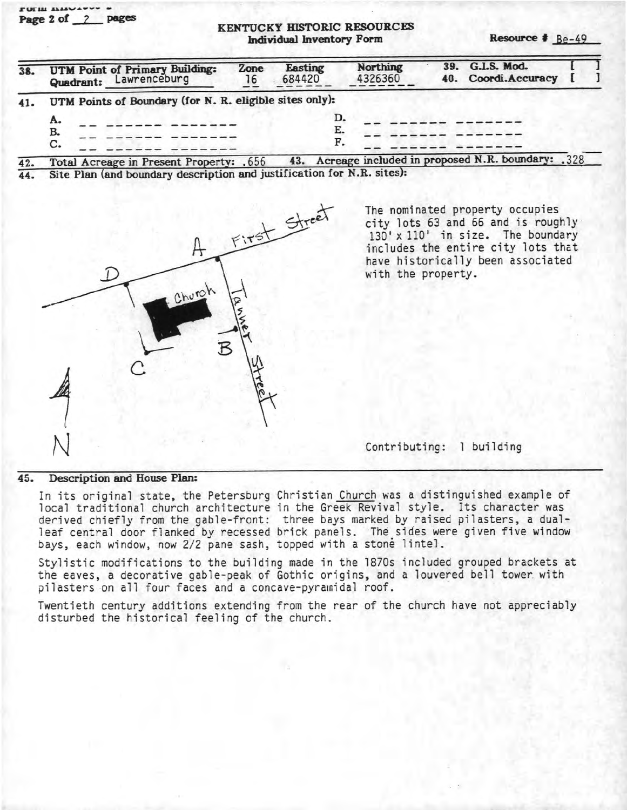Furum Association =

### **Page <sup>2</sup> of ? pages KENTUCKY HISTORIC RESOURCES Individual Inventory Form** Resource #  $Be-49$

| 38. | UTM Point of Primary Building:<br>Lawrenceburg<br>Quadrant:                                               | Zone<br>16 | <b>Easting</b><br>684420 | <b>Northing</b><br>4326360 | 39. G.I.S. Mod.<br>40. Coordi.Accuracy           |  |
|-----|-----------------------------------------------------------------------------------------------------------|------------|--------------------------|----------------------------|--------------------------------------------------|--|
| 41. | UTM Points of Boundary (for N. R. eligible sites only):<br>А.<br>the first property and the same of<br>B. |            | D.<br>Е.                 |                            |                                                  |  |
| 42. | C.<br>Total Acreage in Present Property: .656                                                             |            | 43.                      |                            | Acreage included in proposed N.R. boundary: .328 |  |

 $\frac{42}{11}$ 44. Site Plan (and boundary description and justification for N.R. sites):



The nominated property occupies city lots 63 and 66 and is roughly 130' <sup>X</sup> 110' in size. The boundary includes the entire city lots that have historically been associated with the property.

Contributing: <sup>1</sup> building

#### 45. Description and House Plan:

In its original state, the Petersburg Christian Church was <sup>a</sup> distinguished example of local traditional church architecture in the Greek Revival style. Its character was derived chiefly from the gable-front: three bays marked by raised pilasters, <sup>a</sup> dualleaf central door flanked by recessed brick panels. The sides were given five window bays, each window, now 2/2 pane sash, topped with <sup>a</sup> stone lintel.

Stylistic modifications to the building made in the 1870s included grouped brackets at the eaves, <sup>a</sup> decorative gable-peak of Gothic origins, and <sup>a</sup> louvered bell tower, with pilasters on all four faces and <sup>a</sup> concave-pyramidal roof.

Twentieth century additions extending from the rear of the church have not appreciably disturbed the historical feeling of the church.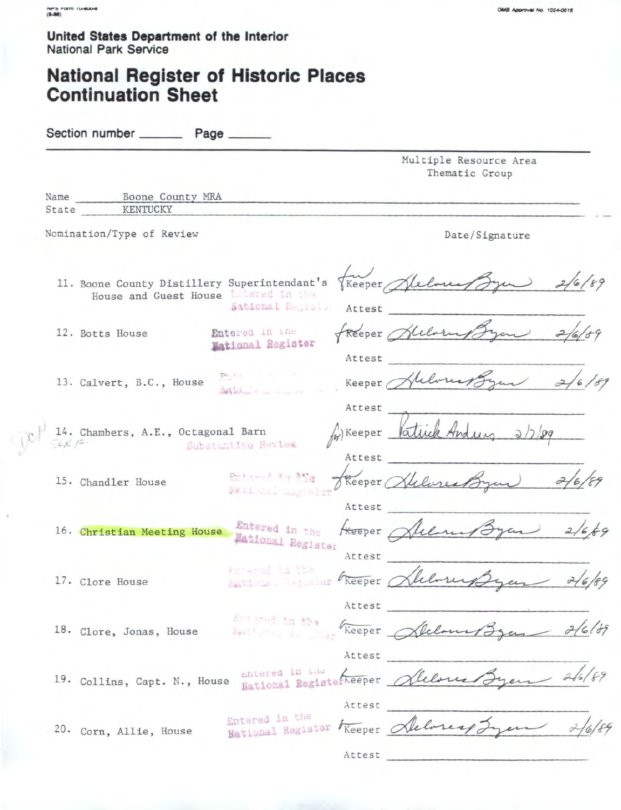

ý.

OMB Approval No. 1024-0018

United States Department of the Interior<br>National Park Service

## **National Register of Historic Places<br>Continuation Sheet**

Section number \_\_\_\_\_\_\_\_\_\_ Page \_\_\_\_\_\_\_

Multiple Resource Area Thematic Group

| Name  | Boone County MRA                                                                     |                                                         |        |                                 |
|-------|--------------------------------------------------------------------------------------|---------------------------------------------------------|--------|---------------------------------|
| State | KENTUCKY                                                                             |                                                         |        |                                 |
|       | Nomination/Type of Review                                                            |                                                         |        | Date/Signature                  |
|       | 11. Boone County Distillery Superintendant's<br>House and Guest House Latered in the | National Regists:                                       | Attest | FREEPER Stelvus                 |
|       | 12. Botts House                                                                      | Entered in the<br>Mational Register                     | Attest | freeper Helory Jyan             |
|       | 13. Calvert, B.C., House                                                             | $P_{\text{tot}}\nu_{\text{R}}$ , where $\alpha$<br>ARLL |        | 6/89<br>Keeper Helvrey ger      |
|       |                                                                                      |                                                         | Attest |                                 |
|       | 14. Chambers, A.E., Octagonal Barn<br>Sex / F. Substantive Review                    |                                                         |        | for Keeper Vatick Andrew 2/7/89 |
|       |                                                                                      |                                                         | Attest |                                 |
|       | 15. Chandler House                                                                   | Entered Hy 15g<br>Decimal Laristo                       |        | Keeper Alelarea Byan 2/6/89     |
|       |                                                                                      |                                                         | Attest |                                 |
|       | 16. Christian Meeting House                                                          | Entered in the<br>Mational Register                     |        | Hereper Aleburn Byen            |
|       |                                                                                      |                                                         | Attest |                                 |
|       | 17. Clore House                                                                      | Furnad in the<br>Father Resident Reeper                 |        | leluringSerces                  |
|       |                                                                                      |                                                         | Attest |                                 |
|       | 18. Clore, Jonas, House                                                              | Estimal in the<br>Australia                             |        | Reeper Alchams Byen             |
|       |                                                                                      |                                                         | Attest |                                 |
|       | 19. Collins, Capt. N., House                                                         |                                                         |        | Entered in the Cheeper Alebus   |
|       |                                                                                      |                                                         | Attest |                                 |
|       | 20. Corn, Allie, House                                                               | Entered in the<br>National Register Keeper Alebreas     |        |                                 |
|       |                                                                                      |                                                         |        |                                 |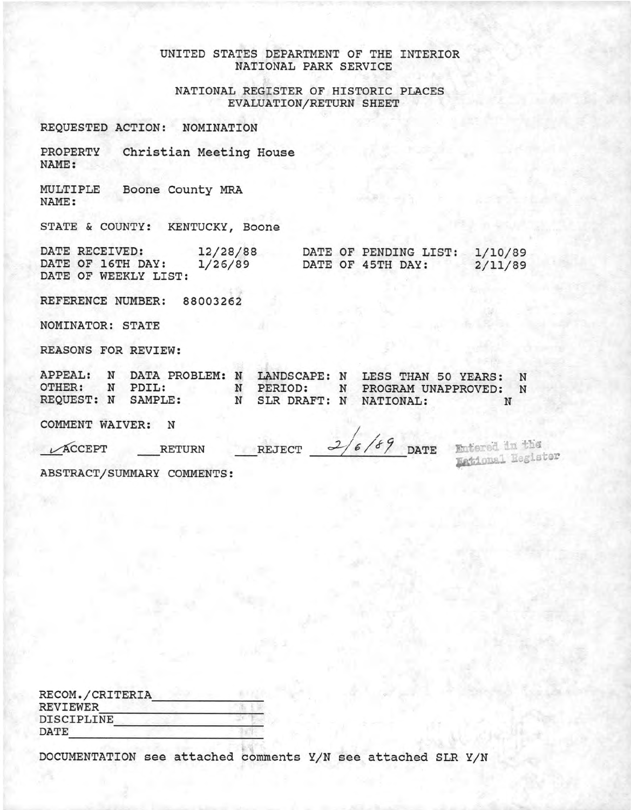### UNITED UNITED DEFARTMENT OF THE INTERIOR NATIONAL IARR SERVICE

NATIONAL REGISTER OF HISTORIC PLACES EVALUATION/RETURN SHEET

REQUESTED ACTION: NOMINATION

NAME: NAME: PROPERTY Christian Meeting House

MULTIPLE BOONE COUNTY MRA NAME:

STATE & COUNTY: KENTUCKY, Boone

DATE RECEIVED: 12/28/88 DATE OF 16TH DAY: 1/26/8<br>DATE OF WEEKLY LIST. DATE OF WEEKLY LIST: DATE OF PENDING LIST: 1/10/89 DATE OF 45TH DAY: 2/11/89

REFERENCE NUMBER: 88003262

NOMINATOR: STATE

REASONS FOR REVIEW:

AFFEAD: N DATA PROBLEM: N<br>OTHED: N DDTI: N OIHER: N PDIL: N<br>REOUEST N SAMPLE REQUEST: N SAMPLE: N LANDDONI L. N ILITOD: N<br>STD DDAFT. N SLR DRAFT: N LESS THAN 50 IEANS. N NATIONAL: N NATIONAL: N

COMMENT WAIVER: N

 $\sqrt{\frac{6}{6}}$  DATE Entered in the

National Register

ABSTRACT/SUMMARY COMMENTS:

DOCUMENTATION see attached comments Y/N see attached SLR Y/N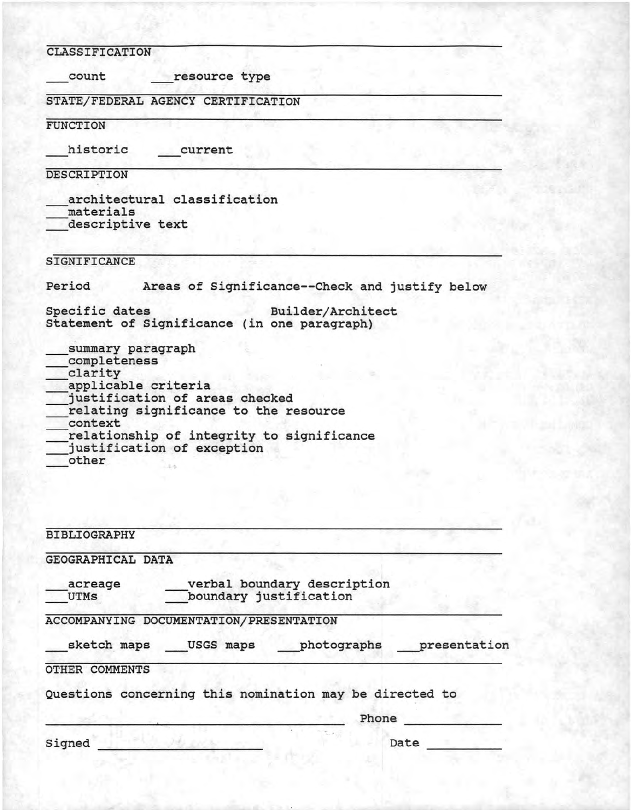### CLASSIFICATION

count resource type

STATE/FEDERAL AGENCY CERTIFICATION

FUNCTION

historic current

DESCRIPTION

architectural classification materials descriptive text

SIGNIFICANCE

Period Areas of Significance—Check and justify below

Specific dates Builder/Architect Statement of Significance (in one paragraph)

- summary paragraph completeness
- clarity
- applicable criteria
- justification of areas checked
- relating significance to the resource
- context
- relationship of integrity to significance
- justification of exception
- other

| <b>BIBLIOGRAPHY</b>                                                                             |
|-------------------------------------------------------------------------------------------------|
| GEOGRAPHICAL DATA                                                                               |
| verbal boundary description<br>acreage<br>boundary justification<br>UTMs                        |
| ACCOMPANYING DOCUMENTATION/PRESENTATION<br>photographs<br>sketch maps USGS maps<br>presentation |
| OTHER COMMENTS                                                                                  |
| Questions concerning this nomination may be directed to                                         |
| Phone                                                                                           |
| Signed<br>Date                                                                                  |
|                                                                                                 |

'site of the local dealer and the control of the control of the control of the control of the control of the control of the control of the control of the control of the control of the control of the control of the control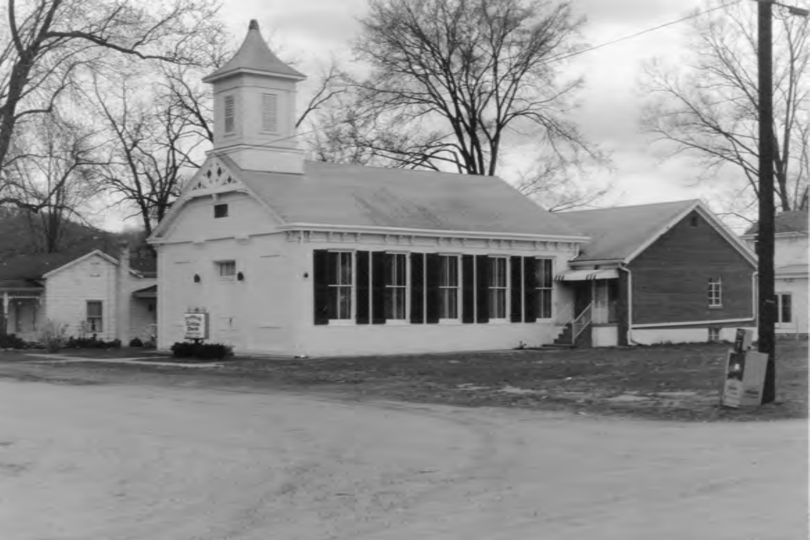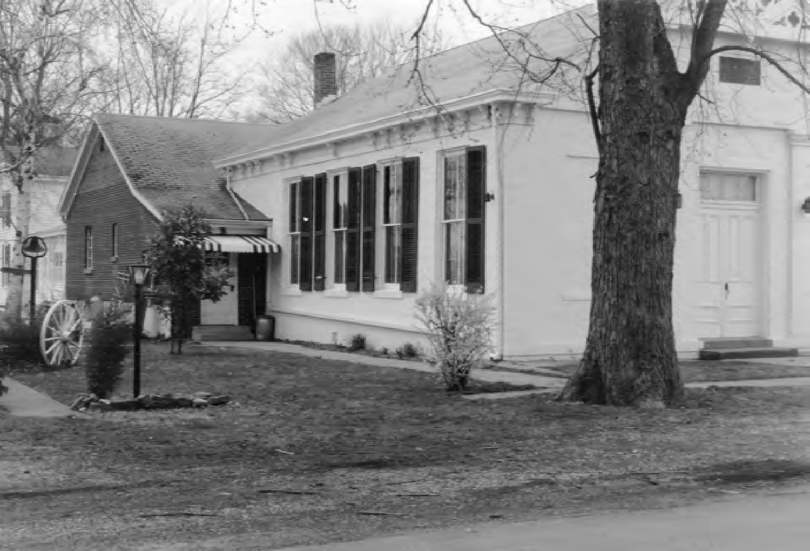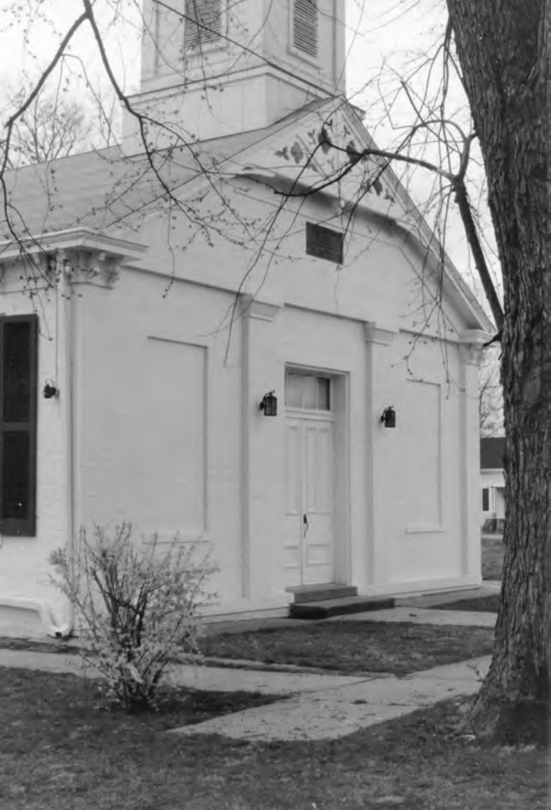